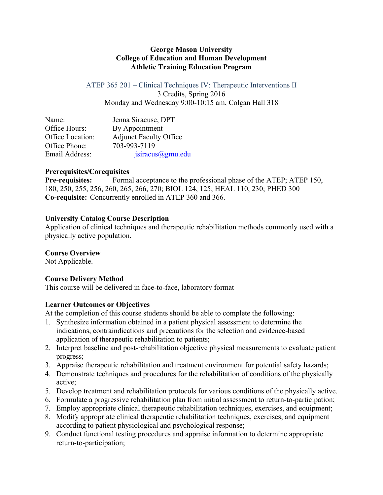## **George Mason University College of Education and Human Development Athletic Training Education Program**

ATEP 365 201 – Clinical Techniques IV: Therapeutic Interventions II

3 Credits, Spring 2016 Monday and Wednesday 9:00-10:15 am, Colgan Hall 318

| Name:            | Jenna Siracuse, DPT           |
|------------------|-------------------------------|
| Office Hours:    | By Appointment                |
| Office Location: | <b>Adjunct Faculty Office</b> |
| Office Phone:    | 703-993-7119                  |
| Email Address:   | jsiracus@gmu.edu              |

## **Prerequisites/Corequisites**

**Pre-requisites:** Formal acceptance to the professional phase of the ATEP; ATEP 150, 180, 250, 255, 256, 260, 265, 266, 270; BIOL 124, 125; HEAL 110, 230; PHED 300 **Co-requisite:** Concurrently enrolled in ATEP 360 and 366.

# **University Catalog Course Description**

Application of clinical techniques and therapeutic rehabilitation methods commonly used with a physically active population.

# **Course Overview**

Not Applicable.

# **Course Delivery Method**

This course will be delivered in face-to-face, laboratory format

# **Learner Outcomes or Objectives**

At the completion of this course students should be able to complete the following:

- 1. Synthesize information obtained in a patient physical assessment to determine the indications, contraindications and precautions for the selection and evidence-based application of therapeutic rehabilitation to patients;
- 2. Interpret baseline and post-rehabilitation objective physical measurements to evaluate patient progress;
- 3. Appraise therapeutic rehabilitation and treatment environment for potential safety hazards;
- 4. Demonstrate techniques and procedures for the rehabilitation of conditions of the physically active;
- 5. Develop treatment and rehabilitation protocols for various conditions of the physically active.
- 6. Formulate a progressive rehabilitation plan from initial assessment to return-to-participation;
- 7. Employ appropriate clinical therapeutic rehabilitation techniques, exercises, and equipment;
- 8. Modify appropriate clinical therapeutic rehabilitation techniques, exercises, and equipment according to patient physiological and psychological response;
- 9. Conduct functional testing procedures and appraise information to determine appropriate return-to-participation;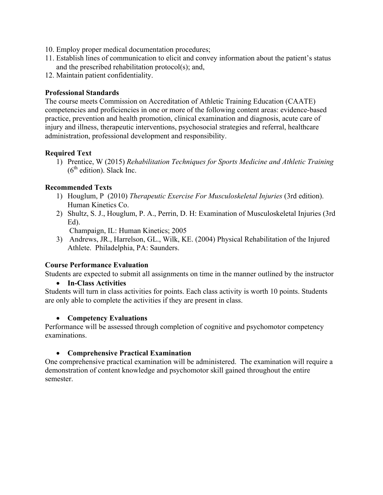- 10. Employ proper medical documentation procedures;
- 11. Establish lines of communication to elicit and convey information about the patient's status and the prescribed rehabilitation protocol(s); and,
- 12. Maintain patient confidentiality.

## **Professional Standards**

The course meets Commission on Accreditation of Athletic Training Education (CAATE) competencies and proficiencies in one or more of the following content areas: evidence-based practice, prevention and health promotion, clinical examination and diagnosis, acute care of injury and illness, therapeutic interventions, psychosocial strategies and referral, healthcare administration, professional development and responsibility.

## **Required Text**

1) Prentice, W (2015) *Rehabilitation Techniques for Sports Medicine and Athletic Training*  $(6<sup>th</sup>$  edition). Slack Inc.

## **Recommended Texts**

- 1) Houglum, P (2010) *Therapeutic Exercise For Musculoskeletal Injuries* (3rd edition). Human Kinetics Co.
- 2) Shultz, S. J., Houglum, P. A., Perrin, D. H: Examination of Musculoskeletal Injuries (3rd Ed).

Champaign, IL: Human Kinetics; 2005

3) Andrews, JR., Harrelson, GL., Wilk, KE. (2004) Physical Rehabilitation of the Injured Athlete. Philadelphia, PA: Saunders.

### **Course Performance Evaluation**

Students are expected to submit all assignments on time in the manner outlined by the instructor

### • **In-Class Activities**

Students will turn in class activities for points. Each class activity is worth 10 points. Students are only able to complete the activities if they are present in class.

### • **Competency Evaluations**

Performance will be assessed through completion of cognitive and psychomotor competency examinations.

### • **Comprehensive Practical Examination**

One comprehensive practical examination will be administered. The examination will require a demonstration of content knowledge and psychomotor skill gained throughout the entire semester.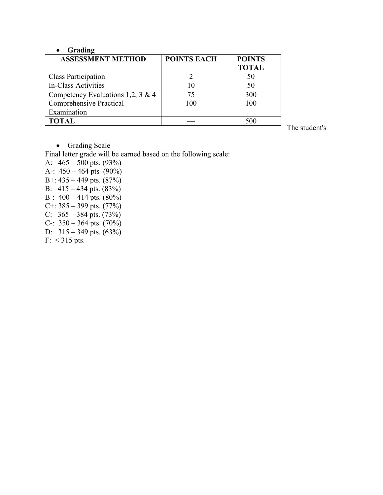## • **Grading**

| <b>ASSESSMENT METHOD</b>          | <b>POINTS EACH</b> | <b>POINTS</b> |
|-----------------------------------|--------------------|---------------|
|                                   |                    | <b>TOTAL</b>  |
| <b>Class Participation</b>        |                    | 50            |
| In-Class Activities               | 10                 | 50            |
| Competency Evaluations 1,2, 3 & 4 | 75                 | 300           |
| <b>Comprehensive Practical</b>    | 100                | 100           |
| Examination                       |                    |               |
| <b>TOTAL</b>                      |                    |               |

The student's

• Grading Scale

Final letter grade will be earned based on the following scale:

A:  $465 - 500$  pts.  $(93\%)$ A-: 450 – 464 pts (90%) B+: 435 – 449 pts. (87%) B: 415 – 434 pts. (83%) B-: 400 – 414 pts. (80%) C+:  $385 - 399$  pts.  $(77%)$ C:  $365 - 384$  pts. (73%) C-:  $350 - 364$  pts.  $(70\%)$ D:  $315 - 349$  pts.  $(63\%)$ F:  $<$  315 pts.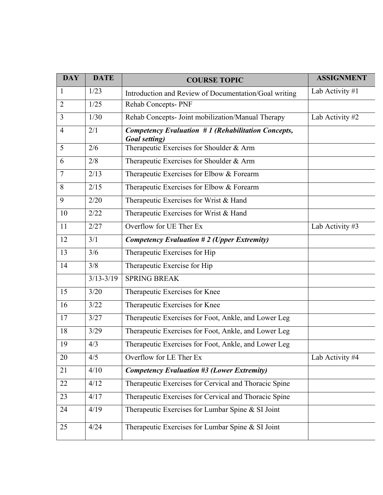| <b>DAY</b>     | <b>DATE</b>   | <b>COURSE TOPIC</b>                                                           | <b>ASSIGNMENT</b> |
|----------------|---------------|-------------------------------------------------------------------------------|-------------------|
| $\mathbf{1}$   | 1/23          | Introduction and Review of Documentation/Goal writing                         | Lab Activity #1   |
| $\overline{2}$ | 1/25          | <b>Rehab Concepts-PNF</b>                                                     |                   |
| 3              | 1/30          | Rehab Concepts- Joint mobilization/Manual Therapy                             | Lab Activity #2   |
| $\overline{4}$ | 2/1           | Competency Evaluation $#1$ (Rehabilitation Concepts,<br><b>Goal setting</b> ) |                   |
| 5              | 2/6           | Therapeutic Exercises for Shoulder & Arm                                      |                   |
| 6              | 2/8           | Therapeutic Exercises for Shoulder & Arm                                      |                   |
| $\overline{7}$ | 2/13          | Therapeutic Exercises for Elbow & Forearm                                     |                   |
| 8              | 2/15          | Therapeutic Exercises for Elbow & Forearm                                     |                   |
| 9              | 2/20          | Therapeutic Exercises for Wrist & Hand                                        |                   |
| 10             | 2/22          | Therapeutic Exercises for Wrist & Hand                                        |                   |
| 11             | 2/27          | Overflow for UE Ther Ex                                                       | Lab Activity #3   |
| 12             | 3/1           | <b>Competency Evaluation #2 (Upper Extremity)</b>                             |                   |
| 13             | 3/6           | Therapeutic Exercises for Hip                                                 |                   |
| 14             | 3/8           | Therapeutic Exercise for Hip                                                  |                   |
|                | $3/13 - 3/19$ | <b>SPRING BREAK</b>                                                           |                   |
| 15             | 3/20          | Therapeutic Exercises for Knee                                                |                   |
| 16             | 3/22          | Therapeutic Exercises for Knee                                                |                   |
| 17             | 3/27          | Therapeutic Exercises for Foot, Ankle, and Lower Leg                          |                   |
| 18             | 3/29          | Therapeutic Exercises for Foot, Ankle, and Lower Leg                          |                   |
| 19             | 4/3           | Therapeutic Exercises for Foot, Ankle, and Lower Leg                          |                   |
| 20             | 4/5           | Overflow for LE Ther Ex                                                       | Lab Activity #4   |
| 21             | 4/10          | <b>Competency Evaluation #3 (Lower Extremity)</b>                             |                   |
| 22             | 4/12          | Therapeutic Exercises for Cervical and Thoracic Spine                         |                   |
| 23             | 4/17          | Therapeutic Exercises for Cervical and Thoracic Spine                         |                   |
| 24             | 4/19          | Therapeutic Exercises for Lumbar Spine & SI Joint                             |                   |
| 25             | 4/24          | Therapeutic Exercises for Lumbar Spine & SI Joint                             |                   |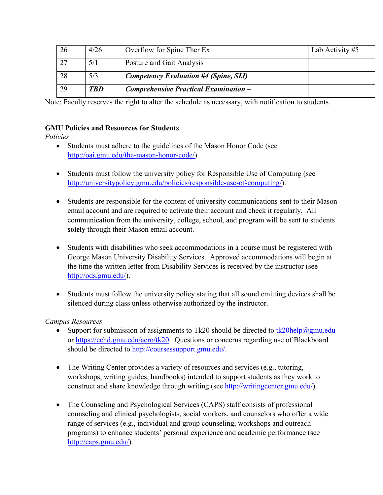| 26 | 4/26       | Overflow for Spine Ther Ex                   | Lab Activity #5 |
|----|------------|----------------------------------------------|-----------------|
| 27 | 5/1        | Posture and Gait Analysis                    |                 |
| 28 | 5/3        | <b>Competency Evaluation #4 (Spine, SIJ)</b> |                 |
| 29 | <b>TBD</b> | Comprehensive Practical Examination -        |                 |

Note: Faculty reserves the right to alter the schedule as necessary, with notification to students.

## **GMU Policies and Resources for Students**

## *Policies*

- Students must adhere to the guidelines of the Mason Honor Code (see http://oai.gmu.edu/the-mason-honor-code/).
- Students must follow the university policy for Responsible Use of Computing (see http://universitypolicy.gmu.edu/policies/responsible-use-of-computing/).
- Students are responsible for the content of university communications sent to their Mason email account and are required to activate their account and check it regularly. All communication from the university, college, school, and program will be sent to students **solely** through their Mason email account.
- Students with disabilities who seek accommodations in a course must be registered with George Mason University Disability Services. Approved accommodations will begin at the time the written letter from Disability Services is received by the instructor (see http://ods.gmu.edu/).
- Students must follow the university policy stating that all sound emitting devices shall be silenced during class unless otherwise authorized by the instructor.

# *Campus Resources*

- Support for submission of assignments to Tk20 should be directed to  $tk20$ help $@gmu$ edu or https://cehd.gmu.edu/aero/tk20. Questions or concerns regarding use of Blackboard should be directed to http://coursessupport.gmu.edu/.
- The Writing Center provides a variety of resources and services (e.g., tutoring, workshops, writing guides, handbooks) intended to support students as they work to construct and share knowledge through writing (see http://writingcenter.gmu.edu/).
- The Counseling and Psychological Services (CAPS) staff consists of professional counseling and clinical psychologists, social workers, and counselors who offer a wide range of services (e.g., individual and group counseling, workshops and outreach programs) to enhance students' personal experience and academic performance (see http://caps.gmu.edu/).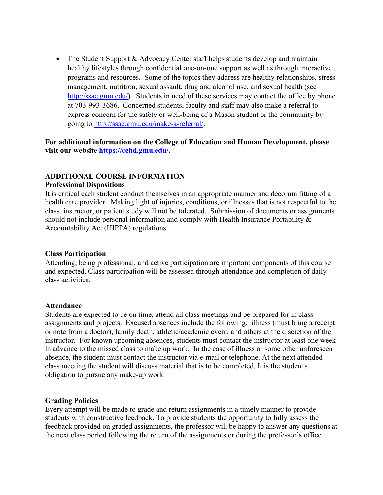• The Student Support & Advocacy Center staff helps students develop and maintain healthy lifestyles through confidential one-on-one support as well as through interactive programs and resources. Some of the topics they address are healthy relationships, stress management, nutrition, sexual assault, drug and alcohol use, and sexual health (see http://ssac.gmu.edu/). Students in need of these services may contact the office by phone at 703-993-3686. Concerned students, faculty and staff may also make a referral to express concern for the safety or well-being of a Mason student or the community by going to http://ssac.gmu.edu/make-a-referral/.

## **For additional information on the College of Education and Human Development, please visit our website https://cehd.gmu.edu/.**

## **ADDITIONAL COURSE INFORMATION**

#### **Professional Dispositions**

It is critical each student conduct themselves in an appropriate manner and decorum fitting of a health care provider. Making light of injuries, conditions, or illnesses that is not respectful to the class, instructor, or patient study will not be tolerated. Submission of documents or assignments should not include personal information and comply with Health Insurance Portability & Accountability Act (HIPPA) regulations.

### **Class Participation**

Attending, being professional, and active participation are important components of this course and expected. Class participation will be assessed through attendance and completion of daily class activities.

### **Attendance**

Students are expected to be on time, attend all class meetings and be prepared for in class assignments and projects. Excused absences include the following: illness (must bring a receipt or note from a doctor), family death, athletic/academic event, and others at the discretion of the instructor. For known upcoming absences, students must contact the instructor at least one week in advance to the missed class to make up work. In the case of illness or some other unforeseen absence, the student must contact the instructor via e-mail or telephone. At the next attended class meeting the student will discuss material that is to be completed. It is the student's obligation to pursue any make-up work.

### **Grading Policies**

Every attempt will be made to grade and return assignments in a timely manner to provide students with constructive feedback. To provide students the opportunity to fully assess the feedback provided on graded assignments, the professor will be happy to answer any questions at the next class period following the return of the assignments or during the professor's office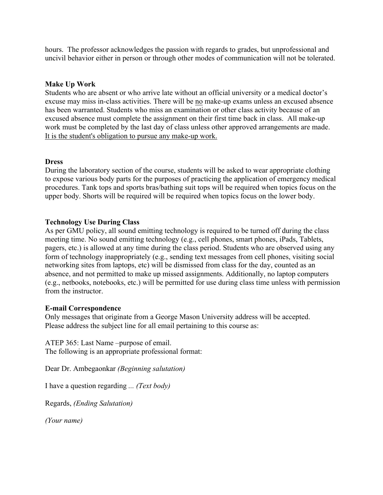hours. The professor acknowledges the passion with regards to grades, but unprofessional and uncivil behavior either in person or through other modes of communication will not be tolerated.

## **Make Up Work**

Students who are absent or who arrive late without an official university or a medical doctor's excuse may miss in-class activities. There will be no make-up exams unless an excused absence has been warranted. Students who miss an examination or other class activity because of an excused absence must complete the assignment on their first time back in class. All make-up work must be completed by the last day of class unless other approved arrangements are made. It is the student's obligation to pursue any make-up work.

### **Dress**

During the laboratory section of the course, students will be asked to wear appropriate clothing to expose various body parts for the purposes of practicing the application of emergency medical procedures. Tank tops and sports bras/bathing suit tops will be required when topics focus on the upper body. Shorts will be required will be required when topics focus on the lower body.

### **Technology Use During Class**

As per GMU policy, all sound emitting technology is required to be turned off during the class meeting time. No sound emitting technology (e.g., cell phones, smart phones, iPads, Tablets, pagers, etc.) is allowed at any time during the class period. Students who are observed using any form of technology inappropriately (e.g., sending text messages from cell phones, visiting social networking sites from laptops, etc) will be dismissed from class for the day, counted as an absence, and not permitted to make up missed assignments. Additionally, no laptop computers (e.g., netbooks, notebooks, etc.) will be permitted for use during class time unless with permission from the instructor.

### **E-mail Correspondence**

Only messages that originate from a George Mason University address will be accepted. Please address the subject line for all email pertaining to this course as:

ATEP 365: Last Name –purpose of email. The following is an appropriate professional format:

Dear Dr. Ambegaonkar *(Beginning salutation)*

I have a question regarding *... (Text body)*

Regards, *(Ending Salutation)*

*(Your name)*